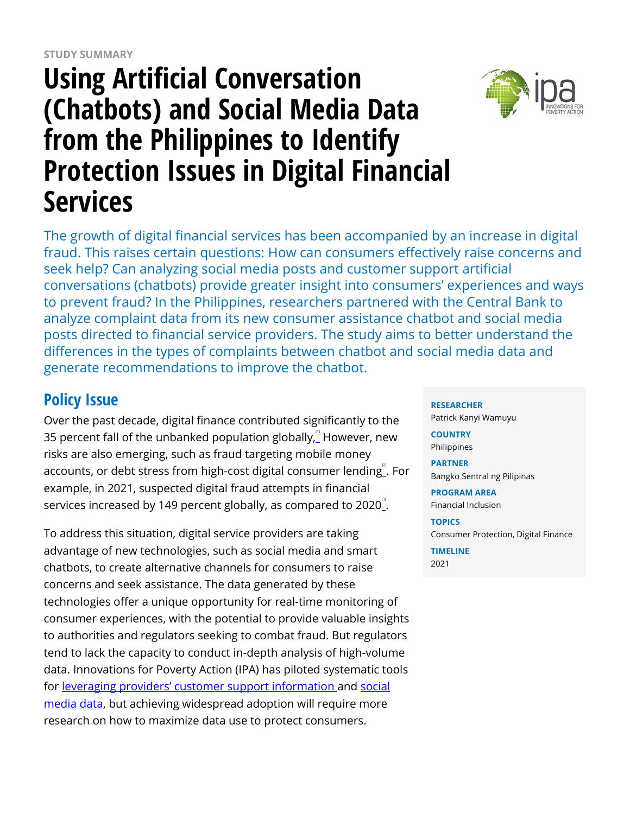# **Using Artificial Conversation (Chatbots) and Social Media Data from the Philippines to Identify Protection Issues in Digital Financial Services**



## **Policy Issue**

Over the past decade, digital finance contributed significantly to the 35 percent fall of the unbanked population globally, $\degree$  However, new risks are also emerging, such as fraud targeting mobile money accounts, or debt stress from high-cost digital consumer lending $\overset{''}{\_}$  For example, in 2021, suspected digital fraud attempts in financial services increased by 149 percent globally, as compared to 2020 $^{\circ}$ .

To address this situation, digital service providers are taking advantage of new technologies, such as social media and smart chatbots, to create alternative channels for consumers to raise concerns and seek assistance. The data generated by these technologies offer a unique opportunity for real-time monitoring of consumer experiences, with the potential to provide valuable insights to authorities and regulators seeking to combat fraud. But regulators tend to lack the capacity to conduct in-depth analysis of high-volume data. Innovations for Poverty Action (IPA) has piloted systematic tools for [leveraging providers' customer support information](https://www.poverty-action.org/study/mobile-financial-services-consumer-protection-and-dispute-resolution-uganda) and [social](https://www.poverty-action.org/study/measurement-consumer-protection-complaints-social-media) [media data](https://www.poverty-action.org/study/measurement-consumer-protection-complaints-social-media), but achieving widespread adoption will require more research on how to maximize data use to protect consumers.

**RESEARCHER**

Patrick Kanyi Wamuyu

**COUNTRY** Philippines

**PARTNER** Bangko Sentral ng Pilipinas

**PROGRAM AREA** Financial Inclusion

**TOPICS** Consumer Protection, Digital Finance

**TIMELINE** 2021

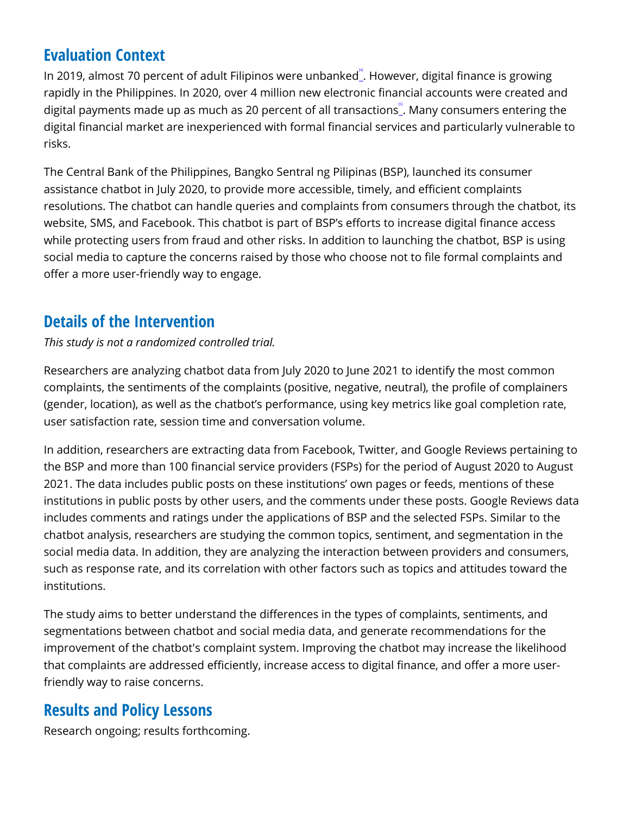#### **Evaluation Context**

In 2019, almost 70 percent of adult Filipinos were unbanked. However, digital finance is growing rapidly in the Philippines. In 2020, over 4 million new electronic financial accounts were created and digital payments made up as much as 20 percent of all transactions』. Many consumers entering the digital financial market are inexperienced with formal financial services and particularly vulnerable to risks.

The Central Bank of the Philippines, Bangko Sentral ng Pilipinas (BSP), launched its consumer assistance chatbot in July 2020, to provide more accessible, timely, and efficient complaints resolutions. The chatbot can handle queries and complaints from consumers through the chatbot, its website, SMS, and Facebook. This chatbot is part of BSP's efforts to increase digital finance access while protecting users from fraud and other risks. In addition to launching the chatbot, BSP is using social media to capture the concerns raised by those who choose not to file formal complaints and offer a more user-friendly way to engage.

#### **Details of the Intervention**

*This study is not a randomized controlled trial.*

Researchers are analyzing chatbot data from July 2020 to June 2021 to identify the most common complaints, the sentiments of the complaints (positive, negative, neutral), the profile of complainers (gender, location), as well as the chatbot's performance, using key metrics like goal completion rate, user satisfaction rate, session time and conversation volume.

In addition, researchers are extracting data from Facebook, Twitter, and Google Reviews pertaining to the BSP and more than 100 financial service providers (FSPs) for the period of August 2020 to August 2021. The data includes public posts on these institutions' own pages or feeds, mentions of these institutions in public posts by other users, and the comments under these posts. Google Reviews data includes comments and ratings under the applications of BSP and the selected FSPs. Similar to the chatbot analysis, researchers are studying the common topics, sentiment, and segmentation in the social media data. In addition, they are analyzing the interaction between providers and consumers, such as response rate, and its correlation with other factors such as topics and attitudes toward the institutions.

The study aims to better understand the differences in the types of complaints, sentiments, and segmentations between chatbot and social media data, and generate recommendations for the improvement of the chatbot's complaint system. Improving the chatbot may increase the likelihood that complaints are addressed efficiently, increase access to digital finance, and offer a more userfriendly way to raise concerns.

### **Results and Policy Lessons**

Research ongoing; results forthcoming.